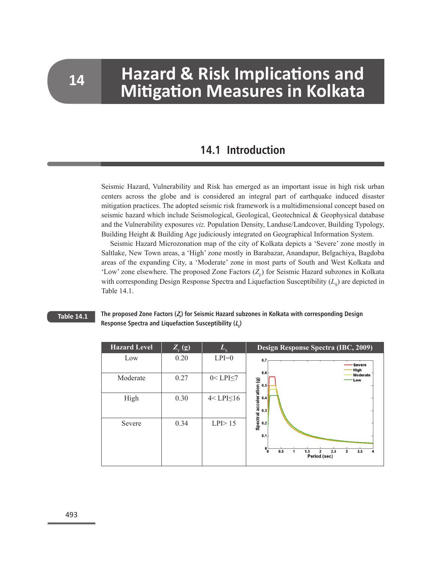# **Hazard & Risk Implications and 14** • **Mitigation Measures in Kolkata**

### **14.1 Introduction**

Seismic Hazard, Vulnerability and Risk has emerged as an important issue in high risk urban centers across the globe and is considered an integral part of earthquake induced disaster mitigation practices. The adopted seismic risk framework is a multidimensional concept based on seismic hazard which include Seismological, Geological, Geotechnical & Geophysical database and the Vulnerability exposures *viz.* Population Density, Landuse/Landcover, Building Typology, Building Height & Building Age judiciously integrated on Geographical Information System.

Seismic Hazard Microzonation map of the city of Kolkata depicts a 'Severe' zone mostly in Saltlake, New Town areas, a 'High' zone mostly in Barabazar, Anandapur, Belgachiya, Bagdoba areas of the expanding City, a 'Moderate' zone in most parts of South and West Kolkata and 'Low' zone elsewhere. The proposed Zone Factors  $(Z_F)$  for Seismic Hazard subzones in Kolkata with corresponding Design Response Spectra and Liquefaction Susceptibility  $(L<sub>s</sub>)$  are depicted in Table 14.1.

#### **Table 14.1**

#### **The proposed Zone Factors (<sup>Z</sup><sup>F</sup> ) for Seismic Hazard subzones in Kolkata with corresponding Design**  Response Spectra and Liquefaction Susceptibility (*L*<sub>s</sub>)

| <b>Hazard Level</b> | $Z_{\scriptscriptstyle \mathrm{F}}\left(\overline{\mathrm{g}}\right)$ | $L_{\rm c}$       | Design Response Spectra (IBC, 2009)                                   |
|---------------------|-----------------------------------------------------------------------|-------------------|-----------------------------------------------------------------------|
| Low                 | 0.20                                                                  | $LPI=0$           | 0.7<br><b>Severe</b><br>High                                          |
| Moderate            | 0.27                                                                  | $0 < LPI \le 7$   | 0.6<br>Moderate<br>Low<br>0.5                                         |
| High                | 0.30                                                                  | $4 < LPI \leq 16$ | Spectral acceleration (g)<br>0.4<br>0.3                               |
| Severe              | 0.34                                                                  | $LPI$ $> 15$      | 0.2<br>0.1                                                            |
|                     |                                                                       |                   | $^{\circ}$<br>0.5<br>3.5<br>2.5<br>1.5<br>3<br>2<br>4<br>Period (sec) |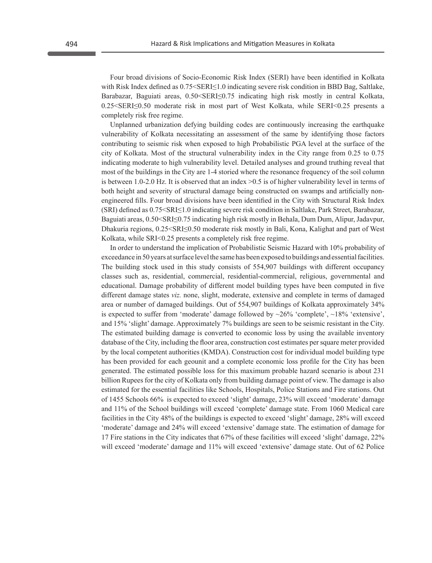Four broad divisions of Socio-Economic Risk Index (SERI) have been identified in Kolkata with Risk Index defined as  $0.75 \leq$  ERI $\leq$  1.0 indicating severe risk condition in BBD Bag, Saltlake, Barabazar, Baguiati areas, 0.50<SERI≤0.75 indicating high risk mostly in central Kolkata, 0.25<SERI≤0.50 moderate risk in most part of West Kolkata, while SERI<0.25 presents a completely risk free regime.

Unplanned urbanization defying building codes are continuously increasing the earthquake vulnerability of Kolkata necessitating an assessment of the same by identifying those factors contributing to seismic risk when exposed to high Probabilistic PGA level at the surface of the city of Kolkata. Most of the structural vulnerability index in the City range from 0.25 to 0.75 indicating moderate to high vulnerability level. Detailed analyses and ground truthing reveal that most of the buildings in the City are 1-4 storied where the resonance frequency of the soil column is between 1.0-2.0 Hz. It is observed that an index >0.5 is of higher vulnerability level in terms of both height and severity of structural damage being constructed on swamps and artificially nonengineered fills. Four broad divisions have been identified in the City with Structural Risk Index (SRI) defined as 0.75<SRI≤1.0 indicating severe risk condition in Saltlake, Park Street, Barabazar, Baguiati areas, 0.50<SRI≤0.75 indicating high risk mostly in Behala, Dum Dum, Alipur, Jadavpur, Dhakuria regions, 0.25<SRI≤0.50 moderate risk mostly in Bali, Kona, Kalighat and part of West Kolkata, while SRI<0.25 presents a completely risk free regime.

In order to understand the implication of Probabilistic Seismic Hazard with 10% probability of exceedance in 50 years at surface level the same has been exposed to buildings and essential facilities. The building stock used in this study consists of 554,907 buildings with different occupancy classes such as, residential, commercial, residential-commercial, religious, governmental and educational. Damage probability of different model building types have been computed in five different damage states *viz.* none, slight, moderate, extensive and complete in terms of damaged area or number of damaged buildings. Out of 554,907 buildings of Kolkata approximately 34% is expected to suffer from 'moderate' damage followed by  $\sim$ 26% 'complete',  $\sim$ 18% 'extensive', and 15% 'slight' damage. Approximately 7% buildings are seen to be seismic resistant in the City. The estimated building damage is converted to economic loss by using the available inventory database of the City, including the floor area, construction cost estimates per square meter provided by the local competent authorities (KMDA). Construction cost for individual model building type has been provided for each geounit and a complete economic loss profile for the City has been generated. The estimated possible loss for this maximum probable hazard scenario is about 231 billion Rupees for the city of Kolkata only from building damage point of view. The damage is also estimated for the essential facilities like Schools, Hospitals, Police Stations and Fire stations. Out of 1455 Schools 66% is expected to exceed 'slight' damage, 23% will exceed 'moderate' damage and 11% of the School buildings will exceed 'complete' damage state. From 1060 Medical care facilities in the City 48% of the buildings is expected to exceed 'slight' damage, 28% will exceed 'moderate' damage and 24% will exceed 'extensive' damage state. The estimation of damage for 17 Fire stations in the City indicates that 67% of these facilities will exceed 'slight' damage, 22% will exceed 'moderate' damage and 11% will exceed 'extensive' damage state. Out of 62 Police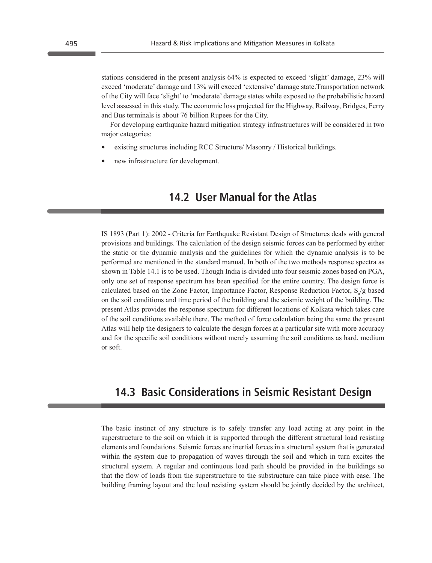stations considered in the present analysis 64% is expected to exceed 'slight' damage, 23% will exceed 'moderate' damage and 13% will exceed 'extensive' damage state.Transportation network of the City will face 'slight' to 'moderate' damage states while exposed to the probabilistic hazard level assessed in this study. The economic loss projected for the Highway, Railway, Bridges, Ferry and Bus terminals is about 76 billion Rupees for the City.

For developing earthquake hazard mitigation strategy infrastructures will be considered in two major categories:

- **•** existing structures including RCC Structure/ Masonry / Historical buildings.
- **•** new infrastructure for development.

### **14.2 User Manual for the Atlas**

IS 1893 (Part 1): 2002 - Criteria for Earthquake Resistant Design of Structures deals with general provisions and buildings. The calculation of the design seismic forces can be performed by either the static or the dynamic analysis and the guidelines for which the dynamic analysis is to be performed are mentioned in the standard manual. In both of the two methods response spectra as shown in Table 14.1 is to be used. Though India is divided into four seismic zones based on PGA, only one set of response spectrum has been specified for the entire country. The design force is calculated based on the Zone Factor, Importance Factor, Response Reduction Factor,  $S_a/g$  based on the soil conditions and time period of the building and the seismic weight of the building. The present Atlas provides the response spectrum for different locations of Kolkata which takes care of the soil conditions available there. The method of force calculation being the same the present Atlas will help the designers to calculate the design forces at a particular site with more accuracy and for the specific soil conditions without merely assuming the soil conditions as hard, medium or soft.

#### **14.3 Basic Considerations in Seismic Resistant Design**

The basic instinct of any structure is to safely transfer any load acting at any point in the superstructure to the soil on which it is supported through the different structural load resisting elements and foundations. Seismic forces are inertial forces in a structural system that is generated within the system due to propagation of waves through the soil and which in turn excites the structural system. A regular and continuous load path should be provided in the buildings so that the flow of loads from the superstructure to the substructure can take place with ease. The building framing layout and the load resisting system should be jointly decided by the architect,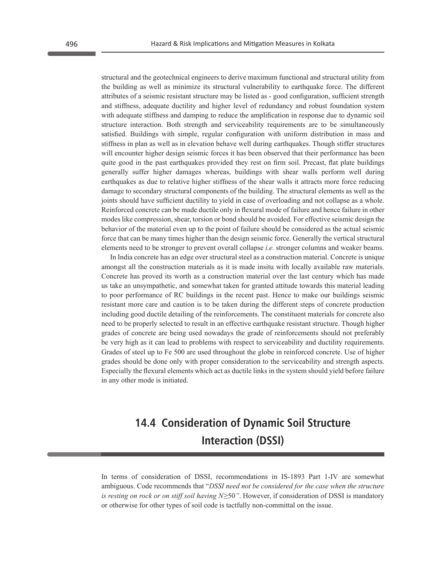structural and the geotechnical engineers to derive maximum functional and structural utility from the building as well as minimize its structural vulnerability to earthquake force. The different attributes of a seismic resistant structure may be listed as - good configuration, sufficient strength and stiffness, adequate ductility and higher level of redundancy and robust foundation system with adequate stiffness and damping to reduce the amplification in response due to dynamic soil structure interaction. Both strength and serviceability requirements are to be simultaneously satisfied. Buildings with simple, regular configuration with uniform distribution in mass and stiffness in plan as well as in elevation behave well during earthquakes. Though stiffer structures will encounter higher design seismic forces it has been observed that their performance has been quite good in the past earthquakes provided they rest on firm soil. Precast, flat plate buildings generally suffer higher damages whereas, buildings with shear walls perform well during earthquakes as due to relative higher stiffness of the shear walls it attracts more force reducing damage to secondary structural components of the building. The structural elements as well as the joints should have sufficient ductility to yield in case of overloading and not collapse as a whole. Reinforced concrete can be made ductile only in flexural mode of failure and hence failure in other modes like compression, shear, torsion or bond should be avoided. For effective seismic design the behavior of the material even up to the point of failure should be considered as the actual seismic force that can be many times higher than the design seismic force. Generally the vertical structural elements need to be stronger to prevent overall collapse *i.e.* stronger columns and weaker beams.

In India concrete has an edge over structural steel as a construction material. Concrete is unique amongst all the construction materials as it is made insitu with locally available raw materials. Concrete has proved its worth as a construction material over the last century which has made us take an unsympathetic, and somewhat taken for granted attitude towards this material leading to poor performance of RC buildings in the recent past. Hence to make our buildings seismic resistant more care and caution is to be taken during the different steps of concrete production including good ductile detailing of the reinforcements. The constituent materials for concrete also need to be properly selected to result in an effective earthquake resistant structure. Though higher grades of concrete are being used nowadays the grade of reinforcements should not preferably be very high as it can lead to problems with respect to serviceability and ductility requirements. Grades of steel up to Fe 500 are used throughout the globe in reinforced concrete. Use of higher grades should be done only with proper consideration to the serviceability and strength aspects. Especially the flexural elements which act as ductile links in the system should yield before failure in any other mode is initiated.

## **14.4 Consideration of Dynamic Soil Structure Interaction (DSSI)**

In terms of consideration of DSSI, recommendations in IS-1893 Part 1-IV are somewhat ambiguous. Code recommends that "*DSSI need not be considered for the case when the structure is resting on rock or on stiff soil having N≥50"*. However, if consideration of DSSI is mandatory or otherwise for other types of soil code is tactfully non-committal on the issue.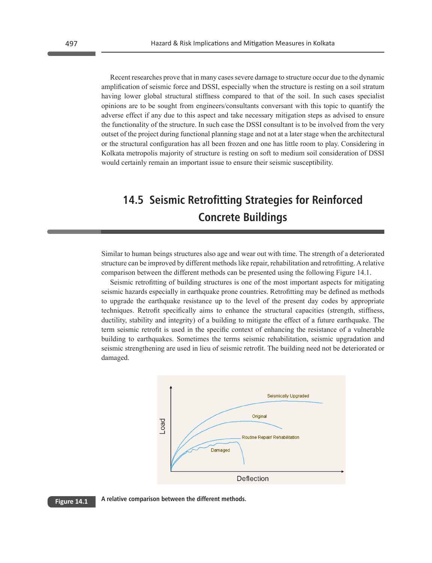Recent researches prove that in many cases severe damage to structure occur due to the dynamic amplification of seismic force and DSSI, especially when the structure is resting on a soil stratum having lower global structural stiffness compared to that of the soil. In such cases specialist opinions are to be sought from engineers/consultants conversant with this topic to quantify the adverse effect if any due to this aspect and take necessary mitigation steps as advised to ensure the functionality of the structure. In such case the DSSI consultant is to be involved from the very outset of the project during functional planning stage and not at a later stage when the architectural or the structural configuration has all been frozen and one has little room to play. Considering in Kolkata metropolis majority of structure is resting on soft to medium soil consideration of DSSI would certainly remain an important issue to ensure their seismic susceptibility.

# **14.5 Seismic Retrofitting Strategies for Reinforced Concrete Buildings**

Similar to human beings structures also age and wear out with time. The strength of a deteriorated structure can be improved by different methods like repair, rehabilitation and retrofitting. A relative comparison between the different methods can be presented using the following Figure 14.1.

Seismic retrofitting of building structures is one of the most important aspects for mitigating seismic hazards especially in earthquake prone countries. Retrofitting may be defined as methods to upgrade the earthquake resistance up to the level of the present day codes by appropriate techniques. Retrofit specifically aims to enhance the structural capacities (strength, stiffness, ductility, stability and integrity) of a building to mitigate the effect of a future earthquake. The term seismic retrofit is used in the specific context of enhancing the resistance of a vulnerable building to earthquakes. Sometimes the terms seismic rehabilitation, seismic upgradation and seismic strengthening are used in lieu of seismic retrofit. The building need not be deteriorated or damaged.



**A relative comparison between the different methods. Figure 14.1**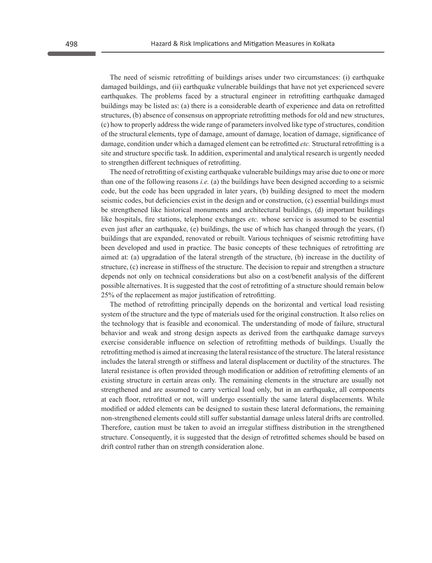The need of seismic retrofitting of buildings arises under two circumstances: (i) earthquake damaged buildings, and (ii) earthquake vulnerable buildings that have not yet experienced severe earthquakes. The problems faced by a structural engineer in retrofitting earthquake damaged buildings may be listed as: (a) there is a considerable dearth of experience and data on retrofitted structures, (b) absence of consensus on appropriate retrofitting methods for old and new structures, (c) how to properly address the wide range of parameters involved like type of structures, condition of the structural elements, type of damage, amount of damage, location of damage, significance of damage, condition under which a damaged element can be retrofitted *etc.* Structural retrofitting is a site and structure specific task. In addition, experimental and analytical research is urgently needed to strengthen different techniques of retrofitting.

The need of retrofitting of existing earthquake vulnerable buildings may arise due to one or more than one of the following reasons *i.e.* (a) the buildings have been designed according to a seismic code, but the code has been upgraded in later years, (b) building designed to meet the modern seismic codes, but deficiencies exist in the design and or construction, (c) essential buildings must be strengthened like historical monuments and architectural buildings, (d) important buildings like hospitals, fire stations, telephone exchanges *etc.* whose service is assumed to be essential even just after an earthquake, (e) buildings, the use of which has changed through the years, (f) buildings that are expanded, renovated or rebuilt. Various techniques of seismic retrofitting have been developed and used in practice. The basic concepts of these techniques of retrofitting are aimed at: (a) upgradation of the lateral strength of the structure, (b) increase in the ductility of structure, (c) increase in stiffness of the structure. The decision to repair and strengthen a structure depends not only on technical considerations but also on a cost/benefit analysis of the different possible alternatives. It is suggested that the cost of retrofitting of a structure should remain below 25% of the replacement as major justification of retrofitting.

The method of retrofitting principally depends on the horizontal and vertical load resisting system of the structure and the type of materials used for the original construction. It also relies on the technology that is feasible and economical. The understanding of mode of failure, structural behavior and weak and strong design aspects as derived from the earthquake damage surveys exercise considerable influence on selection of retrofitting methods of buildings. Usually the retrofitting method is aimed at increasing the lateral resistance of the structure. The lateral resistance includes the lateral strength or stiffness and lateral displacement or ductility of the structures. The lateral resistance is often provided through modification or addition of retrofitting elements of an existing structure in certain areas only. The remaining elements in the structure are usually not strengthened and are assumed to carry vertical load only, but in an earthquake, all components at each floor, retrofitted or not, will undergo essentially the same lateral displacements. While modified or added elements can be designed to sustain these lateral deformations, the remaining non-strengthened elements could still suffer substantial damage unless lateral drifts are controlled. Therefore, caution must be taken to avoid an irregular stiffness distribution in the strengthened structure. Consequently, it is suggested that the design of retrofitted schemes should be based on drift control rather than on strength consideration alone.